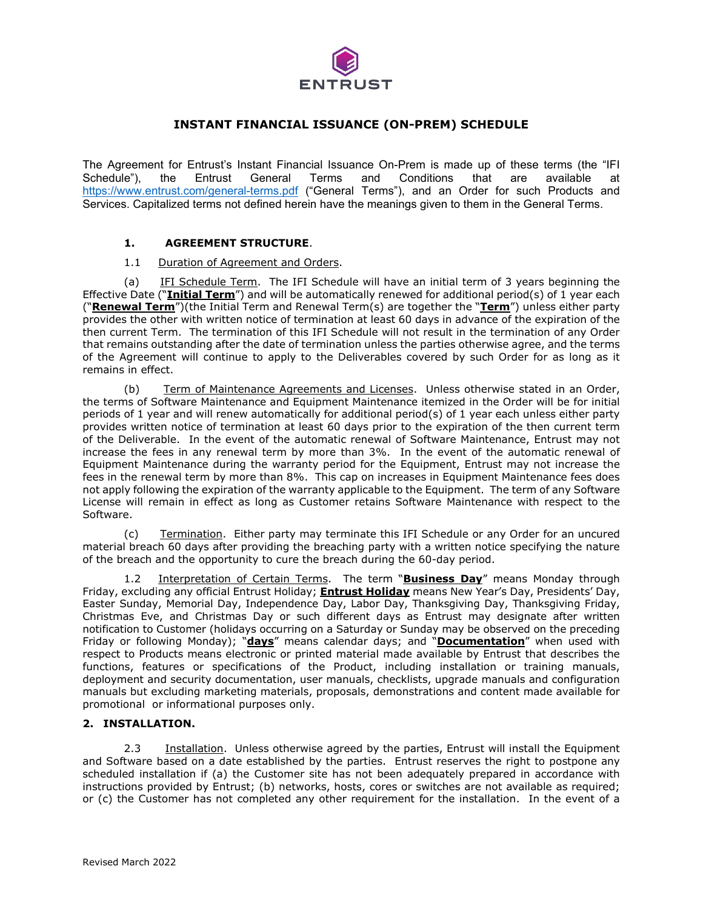

### **INSTANT FINANCIAL ISSUANCE (ON-PREM) SCHEDULE**

The Agreement for Entrust's Instant Financial Issuance On-Prem is made up of these terms (the "IFI<br>Schedule"), the Entrust General Terms and Conditions that are available at General Terms and Conditions that are <https://www.entrust.com/general-terms.pdf> ("General Terms"), and an Order for such Products and Services. Capitalized terms not defined herein have the meanings given to them in the General Terms.

### **1. AGREEMENT STRUCTURE**.

#### 1.1 Duration of Agreement and Orders.

(a) IFI Schedule Term. The IFI Schedule will have an initial term of 3 years beginning the Effective Date ("**Initial Term**") and will be automatically renewed for additional period(s) of 1 year each ("**Renewal Term**")(the Initial Term and Renewal Term(s) are together the "**Term**") unless either party provides the other with written notice of termination at least 60 days in advance of the expiration of the then current Term. The termination of this IFI Schedule will not result in the termination of any Order that remains outstanding after the date of termination unless the parties otherwise agree, and the terms of the Agreement will continue to apply to the Deliverables covered by such Order for as long as it remains in effect.

(b) Term of Maintenance Agreements and Licenses. Unless otherwise stated in an Order, the terms of Software Maintenance and Equipment Maintenance itemized in the Order will be for initial periods of 1 year and will renew automatically for additional period(s) of 1 year each unless either party provides written notice of termination at least 60 days prior to the expiration of the then current term of the Deliverable. In the event of the automatic renewal of Software Maintenance, Entrust may not increase the fees in any renewal term by more than 3%. In the event of the automatic renewal of Equipment Maintenance during the warranty period for the Equipment, Entrust may not increase the fees in the renewal term by more than 8%. This cap on increases in Equipment Maintenance fees does not apply following the expiration of the warranty applicable to the Equipment. The term of any Software License will remain in effect as long as Customer retains Software Maintenance with respect to the Software.

(c) Termination. Either party may terminate this IFI Schedule or any Order for an uncured material breach 60 days after providing the breaching party with a written notice specifying the nature of the breach and the opportunity to cure the breach during the 60-day period.

Interpretation of Certain Terms. The term "**Business Day**" means Monday through Friday, excluding any official Entrust Holiday; **Entrust Holiday** means New Year's Day, Presidents' Day, Easter Sunday, Memorial Day, Independence Day, Labor Day, Thanksgiving Day, Thanksgiving Friday, Christmas Eve, and Christmas Day or such different days as Entrust may designate after written notification to Customer (holidays occurring on a Saturday or Sunday may be observed on the preceding Friday or following Monday); "**days**" means calendar days; and "**Documentation**" when used with respect to Products means electronic or printed material made available by Entrust that describes the functions, features or specifications of the Product, including installation or training manuals, deployment and security documentation, user manuals, checklists, upgrade manuals and configuration manuals but excluding marketing materials, proposals, demonstrations and content made available for promotional or informational purposes only.

### **2. INSTALLATION.**

2.3 Installation. Unless otherwise agreed by the parties, Entrust will install the Equipment and Software based on a date established by the parties. Entrust reserves the right to postpone any scheduled installation if (a) the Customer site has not been adequately prepared in accordance with instructions provided by Entrust; (b) networks, hosts, cores or switches are not available as required; or (c) the Customer has not completed any other requirement for the installation. In the event of a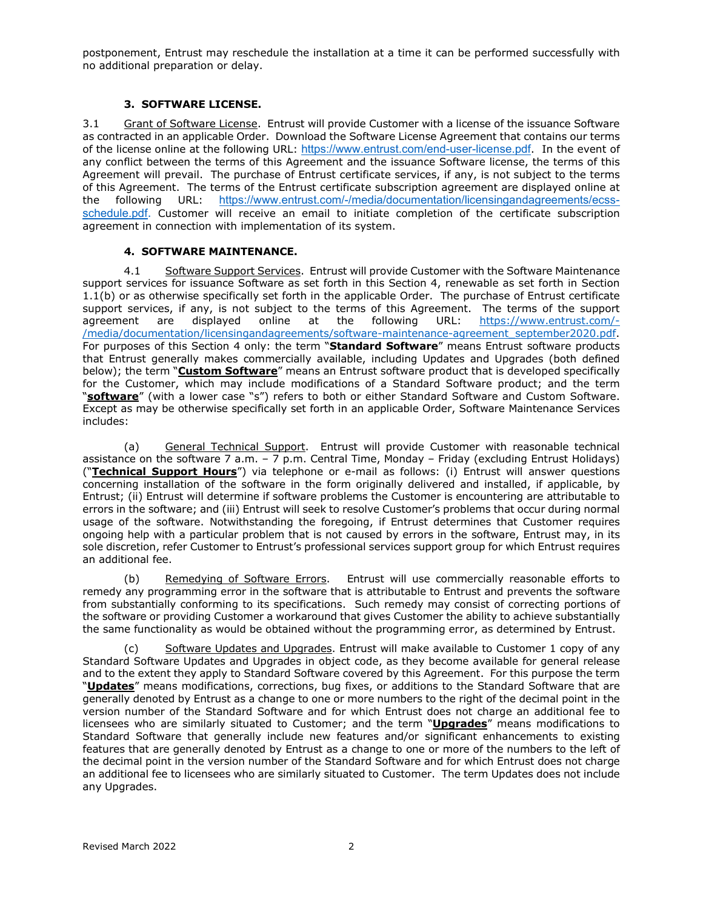postponement, Entrust may reschedule the installation at a time it can be performed successfully with no additional preparation or delay.

### **3. SOFTWARE LICENSE.**

3.1 Grant of Software License. Entrust will provide Customer with a license of the issuance Software as contracted in an applicable Order. Download the Software License Agreement that contains our terms of the license online at the following URL: <https://www.entrust.com/end-user-license.pdf>. In the event of any conflict between the terms of this Agreement and the issuance Software license, the terms of this Agreement will prevail. The purchase of Entrust certificate services, if any, is not subject to the terms of this Agreement. The terms of the Entrust certificate subscription agreement are displayed online at the following URL: [https://www.entrust.com/-/media/documentation/licensingandagreements/ecss](https://www.entrust.com/-/media/documentation/licensingandagreements/ecss-schedule.pdf)[schedule.pdf](https://www.entrust.com/-/media/documentation/licensingandagreements/ecss-schedule.pdf). Customer will receive an email to initiate completion of the certificate subscription agreement in connection with implementation of its system.

### **4. SOFTWARE MAINTENANCE.**

4.1 Software Support Services. Entrust will provide Customer with the Software Maintenance support services for issuance Software as set forth in this Section 4, renewable as set forth in Section 1.1(b) or as otherwise specifically set forth in the applicable Order. The purchase of Entrust certificate support services, if any, is not subject to the terms of this Agreement. The terms of the support agreement are displayed online at the following URL: [https://www.entrust.com/-](https://www.entrust.com/-/media/documentation/licensingandagreements/software-maintenance-agreement_september2020.pdf) [/media/documentation/licensingandagreements/software-maintenance-agreement\\_september2020.pdf.](https://www.entrust.com/-/media/documentation/licensingandagreements/software-maintenance-agreement_september2020.pdf) For purposes of this Section 4 only: the term "**Standard Software**" means Entrust software products that Entrust generally makes commercially available, including Updates and Upgrades (both defined below); the term "**Custom Software**" means an Entrust software product that is developed specifically for the Customer, which may include modifications of a Standard Software product; and the term "**software**" (with a lower case "s") refers to both or either Standard Software and Custom Software. Except as may be otherwise specifically set forth in an applicable Order, Software Maintenance Services includes:

(a) General Technical Support. Entrust will provide Customer with reasonable technical assistance on the software 7 a.m. – 7 p.m. Central Time, Monday – Friday (excluding Entrust Holidays) ("**Technical Support Hours**") via telephone or e-mail as follows: (i) Entrust will answer questions concerning installation of the software in the form originally delivered and installed, if applicable, by Entrust; (ii) Entrust will determine if software problems the Customer is encountering are attributable to errors in the software; and (iii) Entrust will seek to resolve Customer's problems that occur during normal usage of the software. Notwithstanding the foregoing, if Entrust determines that Customer requires ongoing help with a particular problem that is not caused by errors in the software, Entrust may, in its sole discretion, refer Customer to Entrust's professional services support group for which Entrust requires an additional fee.

Remedying of Software Errors. Entrust will use commercially reasonable efforts to remedy any programming error in the software that is attributable to Entrust and prevents the software from substantially conforming to its specifications. Such remedy may consist of correcting portions of the software or providing Customer a workaround that gives Customer the ability to achieve substantially the same functionality as would be obtained without the programming error, as determined by Entrust.

Software Updates and Upgrades. Entrust will make available to Customer 1 copy of any Standard Software Updates and Upgrades in object code, as they become available for general release and to the extent they apply to Standard Software covered by this Agreement. For this purpose the term "**Updates**" means modifications, corrections, bug fixes, or additions to the Standard Software that are generally denoted by Entrust as a change to one or more numbers to the right of the decimal point in the version number of the Standard Software and for which Entrust does not charge an additional fee to licensees who are similarly situated to Customer; and the term "**Upgrades**" means modifications to Standard Software that generally include new features and/or significant enhancements to existing features that are generally denoted by Entrust as a change to one or more of the numbers to the left of the decimal point in the version number of the Standard Software and for which Entrust does not charge an additional fee to licensees who are similarly situated to Customer. The term Updates does not include any Upgrades.